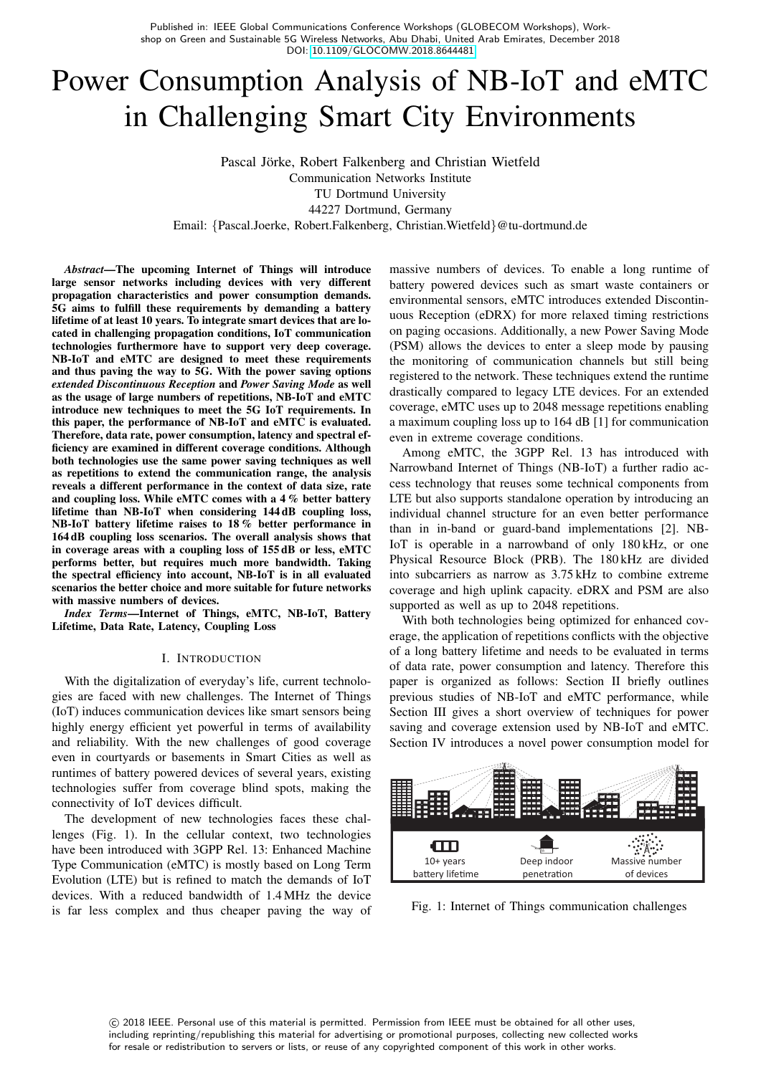Published in: IEEE Global Communications Conference Workshops (GLOBECOM Workshops), Workshop on Green and Sustainable 5G Wireless Networks, Abu Dhabi, United Arab Emirates, December 2018 DOI: [10.1109/GLOCOMW.2018.8644481](http://dx.doi.org/10.1109/GLOCOMW.2018.8644481)

# Power Consumption Analysis of NB-IoT and eMTC in Challenging Smart City Environments

Pascal Jörke, Robert Falkenberg and Christian Wietfeld Communication Networks Institute TU Dortmund University 44227 Dortmund, Germany Email: {Pascal.Joerke, Robert.Falkenberg, Christian.Wietfeld}@tu-dortmund.de

*Abstract*—The upcoming Internet of Things will introduce large sensor networks including devices with very different propagation characteristics and power consumption demands. 5G aims to fulfill these requirements by demanding a battery lifetime of at least 10 years. To integrate smart devices that are located in challenging propagation conditions, IoT communication technologies furthermore have to support very deep coverage. NB-IoT and eMTC are designed to meet these requirements and thus paving the way to 5G. With the power saving options *extended Discontinuous Reception* and *Power Saving Mode* as well as the usage of large numbers of repetitions, NB-IoT and eMTC introduce new techniques to meet the 5G IoT requirements. In this paper, the performance of NB-IoT and eMTC is evaluated. Therefore, data rate, power consumption, latency and spectral efficiency are examined in different coverage conditions. Although both technologies use the same power saving techniques as well as repetitions to extend the communication range, the analysis reveals a different performance in the context of data size, rate and coupling loss. While eMTC comes with a 4% better battery lifetime than NB-IoT when considering 144 dB coupling loss, NB-IoT battery lifetime raises to 18 % better performance in 164 dB coupling loss scenarios. The overall analysis shows that in coverage areas with a coupling loss of 155 dB or less, eMTC performs better, but requires much more bandwidth. Taking the spectral efficiency into account, NB-IoT is in all evaluated scenarios the better choice and more suitable for future networks with massive numbers of devices.

*Index Terms*—Internet of Things, eMTC, NB-IoT, Battery Lifetime, Data Rate, Latency, Coupling Loss

#### I. INTRODUCTION

With the digitalization of everyday's life, current technologies are faced with new challenges. The Internet of Things (IoT) induces communication devices like smart sensors being highly energy efficient yet powerful in terms of availability and reliability. With the new challenges of good coverage even in courtyards or basements in Smart Cities as well as runtimes of battery powered devices of several years, existing technologies suffer from coverage blind spots, making the connectivity of IoT devices difficult.

The development of new technologies faces these challenges (Fig. 1). In the cellular context, two technologies have been introduced with 3GPP Rel. 13: Enhanced Machine Type Communication (eMTC) is mostly based on Long Term Evolution (LTE) but is refined to match the demands of IoT devices. With a reduced bandwidth of 1.4 MHz the device is far less complex and thus cheaper paving the way of massive numbers of devices. To enable a long runtime of battery powered devices such as smart waste containers or environmental sensors, eMTC introduces extended Discontinuous Reception (eDRX) for more relaxed timing restrictions on paging occasions. Additionally, a new Power Saving Mode (PSM) allows the devices to enter a sleep mode by pausing the monitoring of communication channels but still being registered to the network. These techniques extend the runtime drastically compared to legacy LTE devices. For an extended coverage, eMTC uses up to 2048 message repetitions enabling a maximum coupling loss up to 164 dB [1] for communication even in extreme coverage conditions.

Among eMTC, the 3GPP Rel. 13 has introduced with Narrowband Internet of Things (NB-IoT) a further radio access technology that reuses some technical components from LTE but also supports standalone operation by introducing an individual channel structure for an even better performance than in in-band or guard-band implementations [2]. NB-IoT is operable in a narrowband of only 180 kHz, or one Physical Resource Block (PRB). The 180 kHz are divided into subcarriers as narrow as 3.75 kHz to combine extreme coverage and high uplink capacity. eDRX and PSM are also supported as well as up to 2048 repetitions.

With both technologies being optimized for enhanced coverage, the application of repetitions conflicts with the objective of a long battery lifetime and needs to be evaluated in terms of data rate, power consumption and latency. Therefore this paper is organized as follows: Section II briefly outlines previous studies of NB-IoT and eMTC performance, while Section III gives a short overview of techniques for power saving and coverage extension used by NB-IoT and eMTC. Section IV introduces a novel power consumption model for



Fig. 1: Internet of Things communication challenges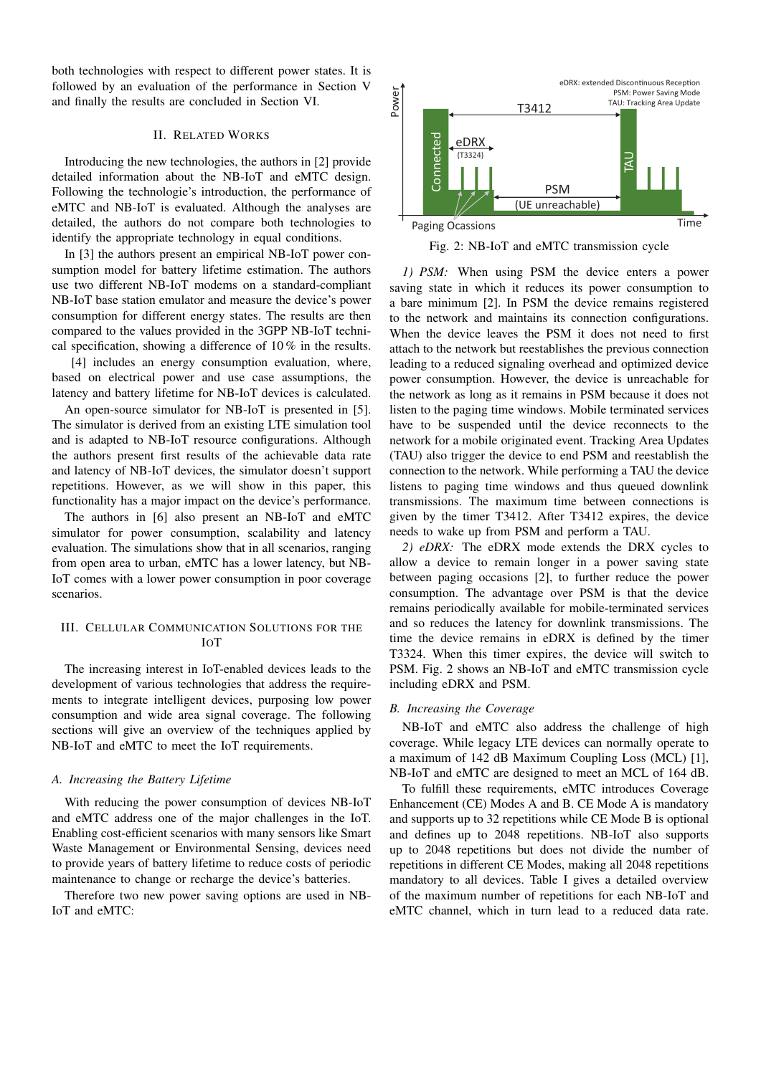both technologies with respect to different power states. It is followed by an evaluation of the performance in Section V and finally the results are concluded in Section VI.

## II. RELATED WORKS

Introducing the new technologies, the authors in [2] provide detailed information about the NB-IoT and eMTC design. Following the technologie's introduction, the performance of eMTC and NB-IoT is evaluated. Although the analyses are detailed, the authors do not compare both technologies to identify the appropriate technology in equal conditions.

In [3] the authors present an empirical NB-IoT power consumption model for battery lifetime estimation. The authors use two different NB-IoT modems on a standard-compliant NB-IoT base station emulator and measure the device's power consumption for different energy states. The results are then compared to the values provided in the 3GPP NB-IoT technical specification, showing a difference of 10 % in the results.

[4] includes an energy consumption evaluation, where, based on electrical power and use case assumptions, the latency and battery lifetime for NB-IoT devices is calculated.

An open-source simulator for NB-IoT is presented in [5]. The simulator is derived from an existing LTE simulation tool and is adapted to NB-IoT resource configurations. Although the authors present first results of the achievable data rate and latency of NB-IoT devices, the simulator doesn't support repetitions. However, as we will show in this paper, this functionality has a major impact on the device's performance.

The authors in [6] also present an NB-IoT and eMTC simulator for power consumption, scalability and latency evaluation. The simulations show that in all scenarios, ranging from open area to urban, eMTC has a lower latency, but NB-IoT comes with a lower power consumption in poor coverage scenarios.

# III. CELLULAR COMMUNICATION SOLUTIONS FOR THE IOT

The increasing interest in IoT-enabled devices leads to the development of various technologies that address the requirements to integrate intelligent devices, purposing low power consumption and wide area signal coverage. The following sections will give an overview of the techniques applied by NB-IoT and eMTC to meet the IoT requirements.

## *A. Increasing the Battery Lifetime*

With reducing the power consumption of devices NB-IoT and eMTC address one of the major challenges in the IoT. Enabling cost-efficient scenarios with many sensors like Smart Waste Management or Environmental Sensing, devices need to provide years of battery lifetime to reduce costs of periodic maintenance to change or recharge the device's batteries.

Therefore two new power saving options are used in NB-



Fig. 2: NB-IoT and eMTC transmission cycle

In the thermatical technology be interded by Figure 1.1 (and the Taurus Constitute in the main technology be a main to constitute the constitute of the constitute of the constitute of the constitute of the constitute of t *1) PSM:* When using PSM the device enters a power saving state in which it reduces its power consumption to a bare minimum [2]. In PSM the device remains registered to the network and maintains its connection configurations. When the device leaves the PSM it does not need to first attach to the network but reestablishes the previous connection leading to a reduced signaling overhead and optimized device power consumption. However, the device is unreachable for the network as long as it remains in PSM because it does not listen to the paging time windows. Mobile terminated services have to be suspended until the device reconnects to the network for a mobile originated event. Tracking Area Updates (TAU) also trigger the device to end PSM and reestablish the connection to the network. While performing a TAU the device listens to paging time windows and thus queued downlink transmissions. The maximum time between connections is given by the timer T3412. After T3412 expires, the device needs to wake up from PSM and perform a TAU.

*2) eDRX:* The eDRX mode extends the DRX cycles to allow a device to remain longer in a power saving state between paging occasions [2], to further reduce the power consumption. The advantage over PSM is that the device remains periodically available for mobile-terminated services and so reduces the latency for downlink transmissions. The time the device remains in eDRX is defined by the timer T3324. When this timer expires, the device will switch to PSM. Fig. 2 shows an NB-IoT and eMTC transmission cycle including eDRX and PSM.

## *B. Increasing the Coverage*

NB-IoT and eMTC also address the challenge of high coverage. While legacy LTE devices can normally operate to a maximum of 142 dB Maximum Coupling Loss (MCL) [1], NB-IoT and eMTC are designed to meet an MCL of 164 dB.

To fulfill these requirements, eMTC introduces Coverage Enhancement (CE) Modes A and B. CE Mode A is mandatory and supports up to 32 repetitions while CE Mode B is optional and defines up to 2048 repetitions. NB-IoT also supports up to 2048 repetitions but does not divide the number of repetitions in different CE Modes, making all 2048 repetitions mandatory to all devices. Table I gives a detailed overview of the maximum number of repetitions for each NB-IoT and eMTC channel, which in turn lead to a reduced data rate.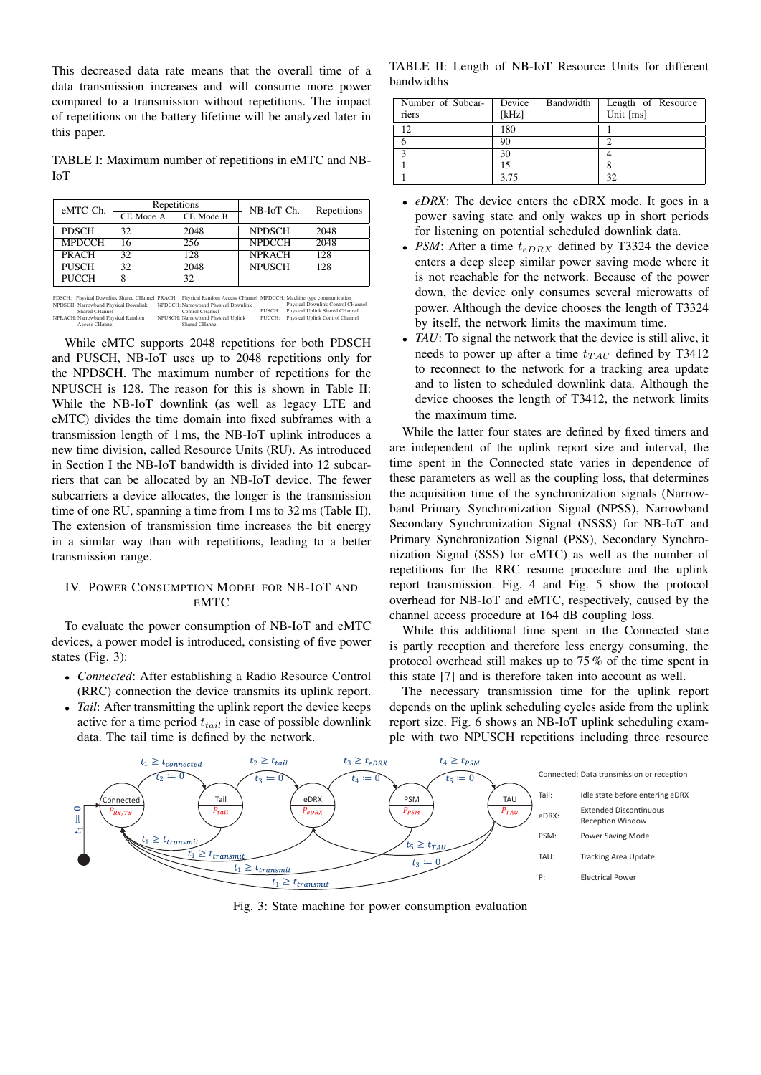This decreased data rate means that the overall time of a data transmission increases and will consume more power compared to a transmission without repetitions. The impact of repetitions on the battery lifetime will be analyzed later in this paper.

TABLE I: Maximum number of repetitions in eMTC and NB-IoT

| eMTC Ch.      | Repetitions |           | NB-IoT Ch.    | Repetitions |
|---------------|-------------|-----------|---------------|-------------|
|               | CE Mode A   | CE Mode B |               |             |
| <b>PDSCH</b>  | 32          | 2048      | <b>NPDSCH</b> | 2048        |
| <b>MPDCCH</b> | 16          | 256       | <b>NPDCCH</b> | 2048        |
| <b>PRACH</b>  | 32          | 128       | <b>NPRACH</b> | 128         |
| <b>PUSCH</b>  | 32          | 2048      | <b>NPUSCH</b> | 128         |
| PUCCH         |             | 32        |               |             |

PDSCH: Physical Downlink Shared CHannel PRACH: Physical Random Access CHannel MPDCCH: Machine type communication Physical Downlink Control CHannel PUSCH: Physical Uplink Shared CHannel NPUSCH: Narrowband Physical Uplink PUCCH: Physical Uplink Control Channel Shared CHannel NPRACH: Narrowband Physical Random Access CHar NPDCCH: Narrowband Physical Downlink Control CHannel NPDSCH: Narrowband Physical Downlink Shared CHannel PRACH: Physical Random Access CHannel

While eMTC supports 2048 repetitions for both PDSCH and PUSCH, NB-IoT uses up to 2048 repetitions only for the NPDSCH. The maximum number of repetitions for the NPUSCH is 128. The reason for this is shown in Table II: While the NB-IoT downlink (as well as legacy LTE and eMTC) divides the time domain into fixed subframes with a transmission length of 1 ms, the NB-IoT uplink introduces a new time division, called Resource Units (RU). As introduced in Section I the NB-IoT bandwidth is divided into 12 subcarriers that can be allocated by an NB-IoT device. The fewer subcarriers a device allocates, the longer is the transmission time of one RU, spanning a time from 1 ms to 32 ms (Table II). The extension of transmission time increases the bit energy in a similar way than with repetitions, leading to a better transmission range.

## IV. POWER CONSUMPTION MODEL FOR NB-IOT AND EMTC

To evaluate the power consumption of NB-IoT and eMTC devices, a power model is introduced, consisting of five power states (Fig. 3):

- *Connected*: After establishing a Radio Resource Control (RRC) connection the device transmits its uplink report.
- *Tail*: After transmitting the uplink report the device keeps active for a time period  $t_{tail}$  in case of possible downlink data. The tail time is defined by the network.

TABLE II: Length of NB-IoT Resource Units for different bandwidths

| Number of Subcar-<br>riers | Device<br>[kHz] | Bandwidth | Length of Resource<br>Unit [ms] |
|----------------------------|-----------------|-----------|---------------------------------|
| 1 <sub>2</sub>             | 180             |           |                                 |
| n                          | 90              |           | ◠                               |
| $\mathbf{\Omega}$          | 30              |           |                                 |
|                            | 15              |           |                                 |
|                            | 3.75            |           | 32                              |

- *eDRX*: The device enters the eDRX mode. It goes in a power saving state and only wakes up in short periods for listening on potential scheduled downlink data.
- *PSM*: After a time  $t_{eDRX}$  defined by T3324 the device enters a deep sleep similar power saving mode where it is not reachable for the network. Because of the power down, the device only consumes several microwatts of power. Although the device chooses the length of T3324 by itself, the network limits the maximum time.
- *TAU*: To signal the network that the device is still alive, it needs to power up after a time  $t_{TAU}$  defined by T3412 to reconnect to the network for a tracking area update and to listen to scheduled downlink data. Although the device chooses the length of T3412, the network limits the maximum time.

While the latter four states are defined by fixed timers and are independent of the uplink report size and interval, the time spent in the Connected state varies in dependence of these parameters as well as the coupling loss, that determines the acquisition time of the synchronization signals (Narrowband Primary Synchronization Signal (NPSS), Narrowband Secondary Synchronization Signal (NSSS) for NB-IoT and Primary Synchronization Signal (PSS), Secondary Synchronization Signal (SSS) for eMTC) as well as the number of repetitions for the RRC resume procedure and the uplink report transmission. Fig. 4 and Fig. 5 show the protocol overhead for NB-IoT and eMTC, respectively, caused by the channel access procedure at 164 dB coupling loss.

While this additional time spent in the Connected state is partly reception and therefore less energy consuming, the protocol overhead still makes up to 75 % of the time spent in this state [7] and is therefore taken into account as well.

The necessary transmission time for the uplink report depends on the uplink scheduling cycles aside from the uplink report size. Fig. 6 shows an NB-IoT uplink scheduling example with two NPUSCH repetitions including three resource



Fig. 3: State machine for power consumption evaluation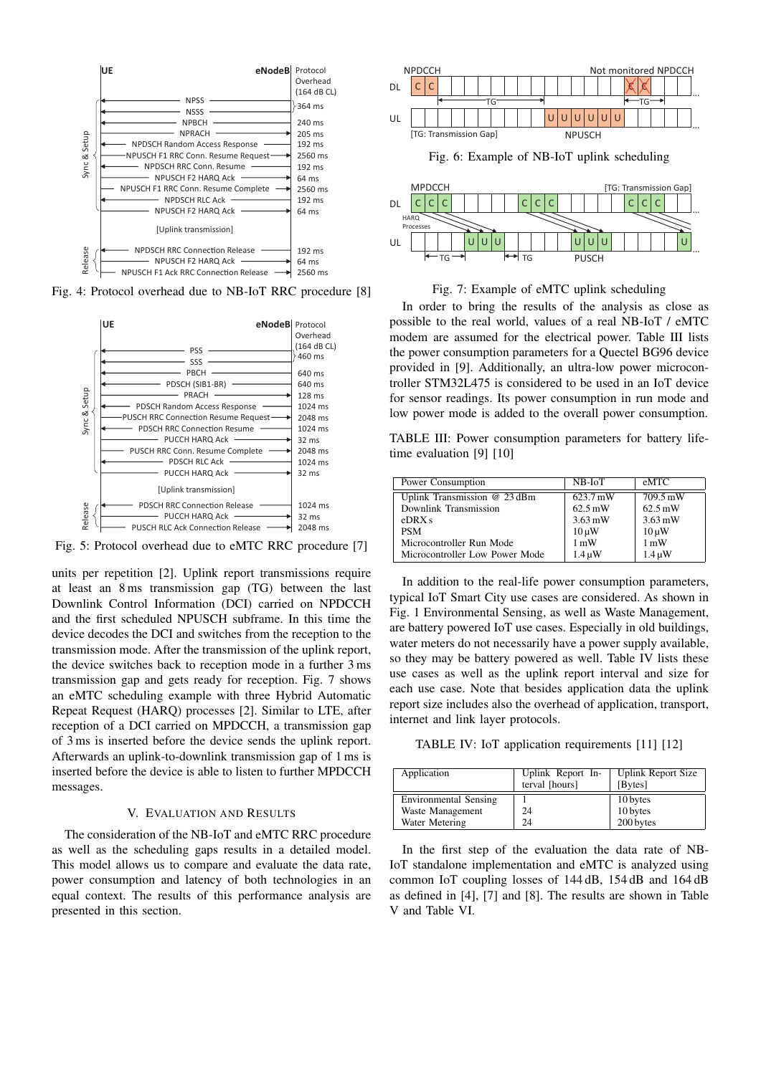

Fig. 4: Protocol overhead due to NB-IoT RRC procedure [8]



Fig. 5: Protocol overhead due to eMTC RRC procedure [7]

units per repetition [2]. Uplink report transmissions require at least an 8 ms transmission gap (TG) between the last Downlink Control Information (DCI) carried on NPDCCH and the first scheduled NPUSCH subframe. In this time the device decodes the DCI and switches from the reception to the transmission mode. After the transmission of the uplink report, the device switches back to reception mode in a further 3 ms transmission gap and gets ready for reception. Fig. 7 shows an eMTC scheduling example with three Hybrid Automatic Repeat Request (HARQ) processes [2]. Similar to LTE, after reception of a DCI carried on MPDCCH, a transmission gap of 3 ms is inserted before the device sends the uplink report. Afterwards an uplink-to-downlink transmission gap of 1 ms is inserted before the device is able to listen to further MPDCCH messages.

#### V. EVALUATION AND RESULTS

The consideration of the NB-IoT and eMTC RRC procedure as well as the scheduling gaps results in a detailed model. This model allows us to compare and evaluate the data rate, power consumption and latency of both technologies in an equal context. The results of this performance analysis are presented in this section.



Fig. 6: Example of NB-IoT uplink scheduling





In order to bring the results of the analysis as close as possible to the real world, values of a real NB-IoT / eMTC modem are assumed for the electrical power. Table III lists the power consumption parameters for a Quectel BG96 device provided in [9]. Additionally, an ultra-low power microcontroller STM32L475 is considered to be used in an IoT device for sensor readings. Its power consumption in run mode and low power mode is added to the overall power consumption.

TABLE III: Power consumption parameters for battery lifetime evaluation [9] [10]

| Power Consumption              | $NB$ - $IoT$      | eMTC              |
|--------------------------------|-------------------|-------------------|
| Uplink Transmission @ 23 dBm   | 623.7 mW          | 709.5 mW          |
| Downlink Transmission          | $62.5 \text{ mW}$ | $62.5 \text{ mW}$ |
| eDRXs                          | $3.63 \text{ mW}$ | $3.63 \text{ mW}$ |
| <b>PSM</b>                     | $10 \mu W$        | $10 \mu W$        |
| Microcontroller Run Mode       | $1 \text{ mW}$    | $1 \text{ mW}$    |
| Microcontroller Low Power Mode | $1.4 \mu W$       | $1.4 \mu W$       |

In addition to the real-life power consumption parameters, typical IoT Smart City use cases are considered. As shown in Fig. 1 Environmental Sensing, as well as Waste Management, are battery powered IoT use cases. Especially in old buildings, water meters do not necessarily have a power supply available, so they may be battery powered as well. Table IV lists these use cases as well as the uplink report interval and size for each use case. Note that besides application data the uplink report size includes also the overhead of application, transport, internet and link layer protocols.

TABLE IV: IoT application requirements [11] [12]

| Application           | Uplink Report In-<br>terval [hours] | <b>Uplink Report Size</b><br>[Bytes] |
|-----------------------|-------------------------------------|--------------------------------------|
| Environmental Sensing |                                     | 10 bytes                             |
| Waste Management      | 24                                  | 10 bytes                             |
| Water Metering        | 24                                  | 200 bytes                            |

In the first step of the evaluation the data rate of NB-IoT standalone implementation and eMTC is analyzed using common IoT coupling losses of 144 dB, 154 dB and 164 dB as defined in [4], [7] and [8]. The results are shown in Table V and Table VI.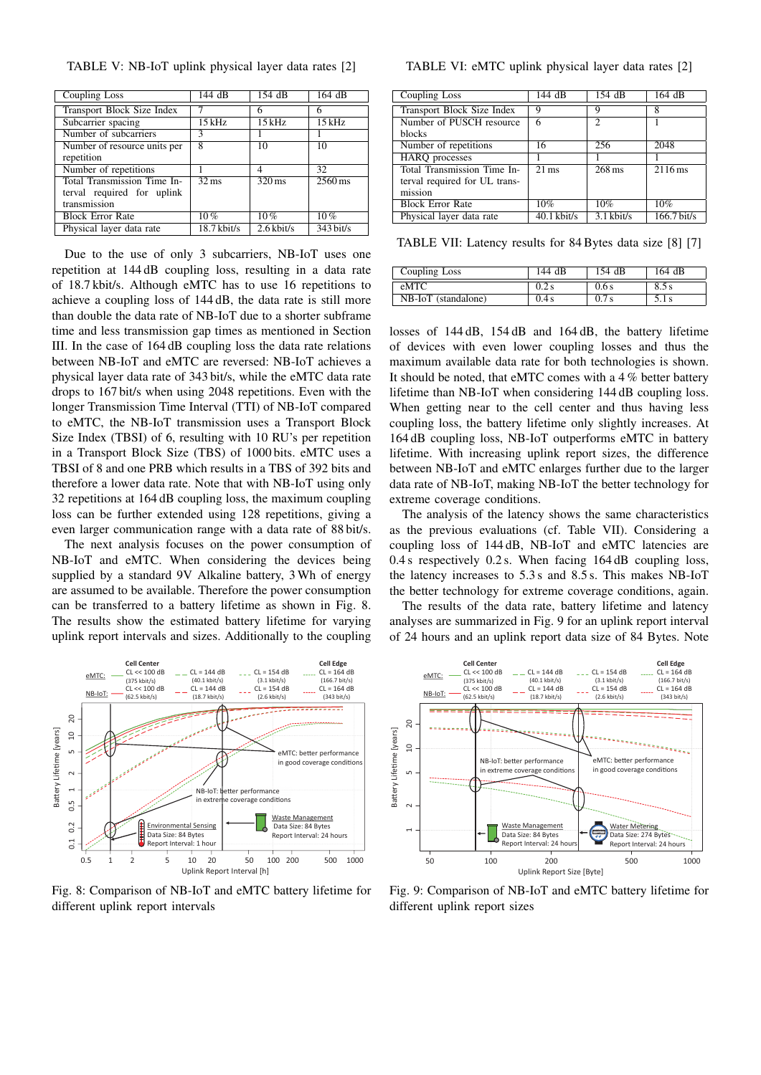TABLE V: NB-IoT uplink physical layer data rates [2]

| Coupling Loss                | 144 dB                    | 154 dB              | 164 dB               |
|------------------------------|---------------------------|---------------------|----------------------|
| Transport Block Size Index   |                           | 6                   | 6                    |
| Subcarrier spacing           | 15 kHz                    | $15$ kHz            | $15$ kHz             |
| Number of subcarriers        | 3                         |                     |                      |
| Number of resource units per | 8                         | 10                  | 10                   |
| repetition                   |                           |                     |                      |
| Number of repetitions        |                           | 4                   | 32                   |
| Total Transmission Time In-  | $32 \overline{\text{ms}}$ | $320 \,\mathrm{ms}$ | $2560 \,\mathrm{ms}$ |
| terval required for uplink   |                           |                     |                      |
| transmission                 |                           |                     |                      |
| <b>Block Error Rate</b>      | $10\%$                    | $\overline{10}\%$   | $10\%$               |
| Physical layer data rate     | $18.7$ kbit/s             | $2.6$ kbit/s        | $343 \text{ bit/s}$  |

Due to the use of only 3 subcarriers, NB-IoT uses one repetition at 144 dB coupling loss, resulting in a data rate of 18.7 kbit/s. Although eMTC has to use 16 repetitions to achieve a coupling loss of 144 dB, the data rate is still more than double the data rate of NB-IoT due to a shorter subframe time and less transmission gap times as mentioned in Section III. In the case of 164 dB coupling loss the data rate relations between NB-IoT and eMTC are reversed: NB-IoT achieves a physical layer data rate of 343 bit/s, while the eMTC data rate drops to 167 bit/s when using 2048 repetitions. Even with the longer Transmission Time Interval (TTI) of NB-IoT compared to eMTC, the NB-IoT transmission uses a Transport Block Size Index (TBSI) of 6, resulting with 10 RU's per repetition in a Transport Block Size (TBS) of 1000 bits. eMTC uses a TBSI of 8 and one PRB which results in a TBS of 392 bits and therefore a lower data rate. Note that with NB-IoT using only 32 repetitions at 164 dB coupling loss, the maximum coupling loss can be further extended using 128 repetitions, giving a even larger communication range with a data rate of 88 bit/s.

The next analysis focuses on the power consumption of NB-IoT and eMTC. When considering the devices being supplied by a standard 9V Alkaline battery, 3 Wh of energy are assumed to be available. Therefore the power consumption can be transferred to a battery lifetime as shown in Fig. 8. The results show the estimated battery lifetime for varying uplink report intervals and sizes. Additionally to the coupling



Fig. 8: Comparison of NB-IoT and eMTC battery lifetime for different uplink report intervals

# TABLE VI: eMTC uplink physical layer data rates [2]

| Coupling Loss                 | 144 dB             | 154 dB           | 164 dB            |
|-------------------------------|--------------------|------------------|-------------------|
| Transport Block Size Index    | 9                  | 9                | 8                 |
| Number of PUSCH resource      | 6                  | 2                |                   |
| blocks                        |                    |                  |                   |
| Number of repetitions         | 16                 | 256              | 2048              |
| <b>HARQ</b> processes         |                    |                  |                   |
| Total Transmission Time In-   | $\overline{21}$ ms | $268 \text{ ms}$ | $2116 \text{ ms}$ |
| terval required for UL trans- |                    |                  |                   |
| mission                       |                    |                  |                   |
| <b>Block Error Rate</b>       | 10%                | 10%              | 10%               |
| Physical layer data rate      | $40.1$ kbit/s      | $3.1$ kbit/s     | $166.7$ bit/s     |

TABLE VII: Latency results for 84 Bytes data size [8] [7]

| Coupling Loss       | 144 dB | 154 dB | 164 dB |
|---------------------|--------|--------|--------|
| eMTC                | 0.2 s  | 0.6s   | 8.5s   |
| NB-IoT (standalone) | 0.4s   | 0.7s   | 5.1 s  |

losses of 144 dB, 154 dB and 164 dB, the battery lifetime of devices with even lower coupling losses and thus the maximum available data rate for both technologies is shown. It should be noted, that eMTC comes with a 4 % better battery lifetime than NB-IoT when considering 144 dB coupling loss. When getting near to the cell center and thus having less coupling loss, the battery lifetime only slightly increases. At 164 dB coupling loss, NB-IoT outperforms eMTC in battery lifetime. With increasing uplink report sizes, the difference between NB-IoT and eMTC enlarges further due to the larger data rate of NB-IoT, making NB-IoT the better technology for extreme coverage conditions.

The analysis of the latency shows the same characteristics as the previous evaluations (cf. Table VII). Considering a coupling loss of 144 dB, NB-IoT and eMTC latencies are 0.4 s respectively 0.2 s. When facing 164 dB coupling loss, the latency increases to 5.3 s and 8.5 s. This makes NB-IoT the better technology for extreme coverage conditions, again.

The results of the data rate, battery lifetime and latency analyses are summarized in Fig. 9 for an uplink report interval of 24 hours and an uplink report data size of 84 Bytes. Note



Fig. 9: Comparison of NB-IoT and eMTC battery lifetime for different uplink report sizes